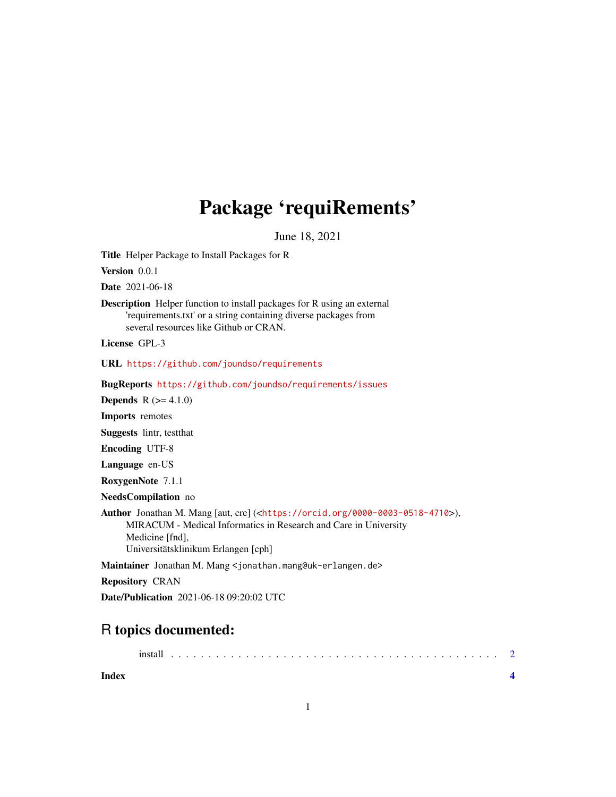## Package 'requiRements'

June 18, 2021

Title Helper Package to Install Packages for R

Version 0.0.1

Date 2021-06-18

Description Helper function to install packages for R using an external 'requirements.txt' or a string containing diverse packages from several resources like Github or CRAN.

License GPL-3

URL <https://github.com/joundso/requirements>

BugReports <https://github.com/joundso/requirements/issues>

**Depends**  $R (= 4.1.0)$ 

Imports remotes

Suggests lintr, testthat

Encoding UTF-8

Language en-US

RoxygenNote 7.1.1

NeedsCompilation no

Author Jonathan M. Mang [aut, cre] (<<https://orcid.org/0000-0003-0518-4710>>), MIRACUM - Medical Informatics in Research and Care in University Medicine [fnd], Universitätsklinikum Erlangen [cph]

Maintainer Jonathan M. Mang <jonathan.mang@uk-erlangen.de>

Repository CRAN

Date/Publication 2021-06-18 09:20:02 UTC

### R topics documented:

| Index |  |  |  |  |  |  |  |  |  |  |  |  |  |  |  |  |  |  |  |
|-------|--|--|--|--|--|--|--|--|--|--|--|--|--|--|--|--|--|--|--|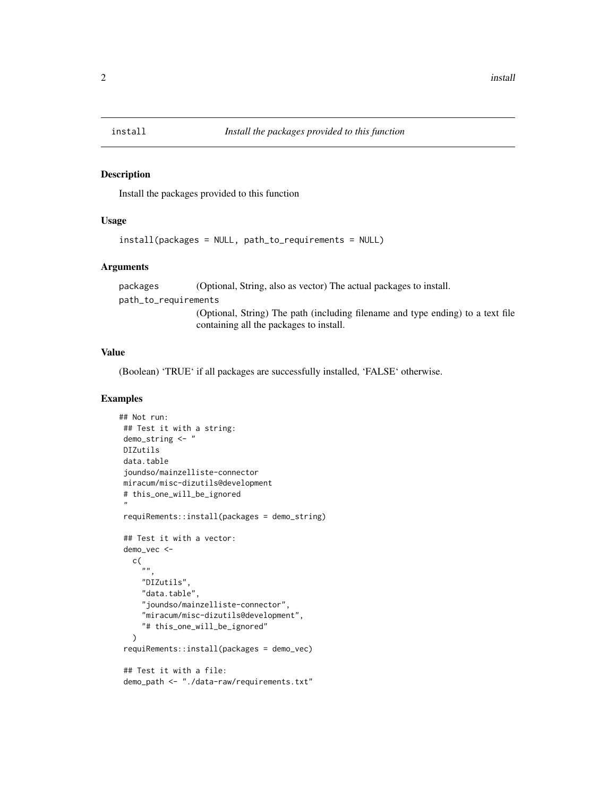<span id="page-1-0"></span>

#### Description

Install the packages provided to this function

#### Usage

```
install(packages = NULL, path_to_requirements = NULL)
```
#### Arguments

packages (Optional, String, also as vector) The actual packages to install. path\_to\_requirements (Optional, String) The path (including filename and type ending) to a text file containing all the packages to install.

#### Value

(Boolean) 'TRUE' if all packages are successfully installed, 'FALSE' otherwise.

#### Examples

```
## Not run:
## Test it with a string:
demo_string <- "
DIZutils
data.table
 joundso/mainzelliste-connector
miracum/misc-dizutils@development
# this_one_will_be_ignored
 "
requiRements::install(packages = demo_string)
## Test it with a vector:
demo_vec <-
  c(
     .<br>""
     "DIZutils",
     "data.table",
     "joundso/mainzelliste-connector",
     "miracum/misc-dizutils@development",
     "# this_one_will_be_ignored"
  )
requiRements::install(packages = demo_vec)
 ## Test it with a file:
demo_path <- "./data-raw/requirements.txt"
```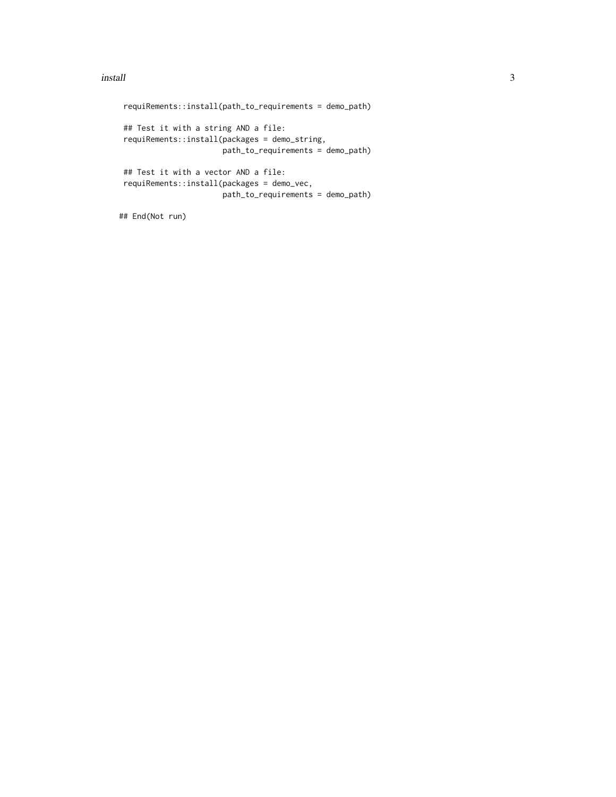#### install 3

```
requiRements::install(path_to_requirements = demo_path)
## Test it with a string AND a file:
requiRements::install(packages = demo_string,
                     path_to_requirements = demo_path)
## Test it with a vector AND a file:
requiRements::install(packages = demo_vec,
                     path_to_requirements = demo_path)
```
## End(Not run)